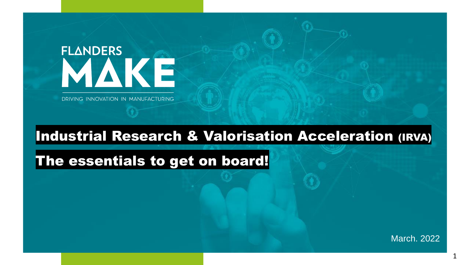# **FLANDERS** MAKE

DRIVING INNOVATION IN MANUFACTURING

# Industrial Research & Valorisation Acceleration (IRVA)

# The essentials to get on board!

March. 2022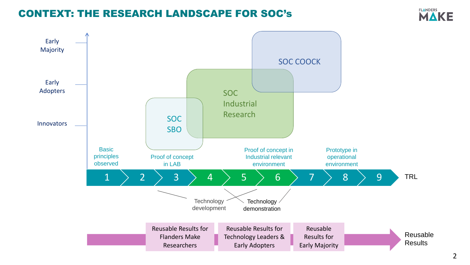### CONTEXT: THE RESEARCH LANDSCAPE FOR SOC's



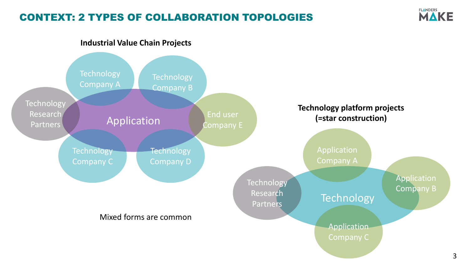# CONTEXT: 2 TYPES OF COLLABORATION TOPOLOGIES



#### **Industrial Value Chain Projects**

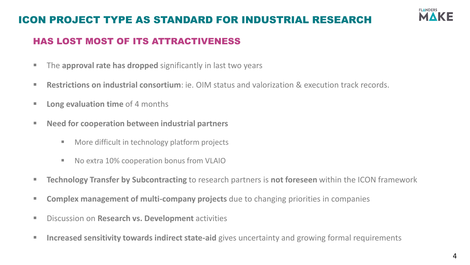# ICON PROJECT TYPE AS STANDARD FOR INDUSTRIAL RESEARCH



### HAS LOST MOST OF ITS ATTRACTIVENESS

- **The approval rate has dropped** significantly in last two years
- **Restrictions on industrial consortium**: ie. OIM status and valorization & execution track records.
- **Long evaluation time** of 4 months
- Need for cooperation between industrial partners
	- More difficult in technology platform projects
	- No extra 10% cooperation bonus from VLAIO
- **Technology Transfer by Subcontracting** to research partners is **not foreseen** within the ICON framework
- **EXP** Complex management of multi-company projects due to changing priorities in companies
- Discussion on **Research vs. Development** activities
- **<u><b>E** Increased sensitivity towards indirect state-aid gives uncertainty and growing formal requirements</u>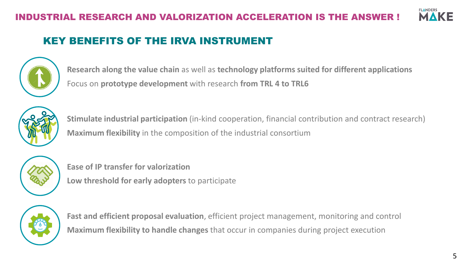

# KEY BENEFITS OF THE IRVA INSTRUMENT



**Research along the value chain** as well as **technology platforms suited for different applications** Focus on **prototype development** with research **from TRL 4 to TRL6**



**Stimulate industrial participation** (in-kind cooperation, financial contribution and contract research) **Maximum flexibility** in the composition of the industrial consortium



**Ease of IP transfer for valorization Low threshold for early adopters** to participate



**Fast and efficient proposal evaluation**, efficient project management, monitoring and control **Maximum flexibility to handle changes** that occur in companies during project execution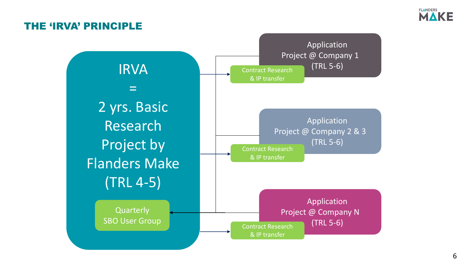

### THE 'IRVA' PRINCIPLE

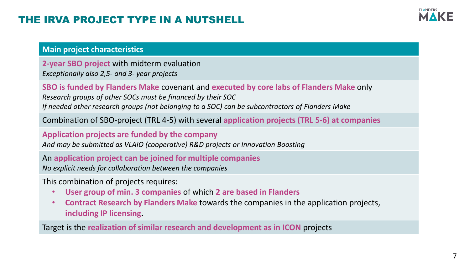# THE IRVA PROJECT TYPE IN A NUTSHELL



#### **Main project characteristics**

**2-year SBO project** with midterm evaluation *Exceptionally also 2,5- and 3- year projects*

**SBO is funded by Flanders Make** covenant and **executed by core labs of Flanders Make** only *Research groups of other SOCs must be financed by their SOC If needed other research groups (not belonging to a SOC) can be subcontractors of Flanders Make*

Combination of SBO-project (TRL 4-5) with several **application projects (TRL 5-6) at companies**

#### **Application projects are funded by the company**

*And may be submitted as VLAIO (cooperative) R&D projects or Innovation Boosting*

An **application project can be joined for multiple companies**

*No explicit needs for collaboration between the companies*

This combination of projects requires:

- **User group of min. 3 companies** of which **2 are based in Flanders**
- **Contract Research by Flanders Make** towards the companies in the application projects, **including IP licensing.**

Target is the **realization of similar research and development as in ICON** projects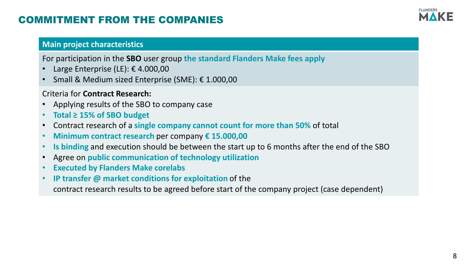# COMMITMENT FROM THE COMPANIES

# **FLANDERS**

#### **Main project characteristics**

For participation in the **SBO** user group **the standard Flanders Make fees apply**

- Large Enterprise (LE):  $\epsilon$  4.000,00
- Small & Medium sized Enterprise (SME): € 1.000,00

#### Criteria for **Contract Research:**

- Applying results of the SBO to company case
- **Total ≥ 15% of SBO budget**
- Contract research of a **single company cannot count for more than 50%** of total
- **Minimum contract research** per company **€ 15.000,00**
- **Is binding** and execution should be between the start up to 6 months after the end of the SBO
- Agree on **public communication of technology utilization**
- **Executed by Flanders Make corelabs**
- **IP transfer @ market conditions for exploitation** of the

contract research results to be agreed before start of the company project (case dependent)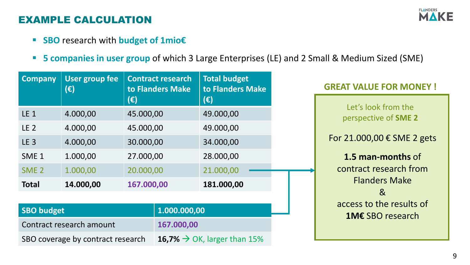# EXAMPLE CALCULATION

- **SBO** research with **budget of 1mio€**
- **E** 5 companies in user group of which 3 Large Enterprises (LE) and 2 Small & Medium Sized (SME)

| User group fee<br><b>Company</b><br>$(\epsilon)$                                      |                                                          |                                                                      | <b>Contract research</b><br>to Flanders Make | <b>Total budget</b><br>to Flanders Make                              |                  | <b>GREAT VALUE FOR MONEY!</b>                                                                                                                    |
|---------------------------------------------------------------------------------------|----------------------------------------------------------|----------------------------------------------------------------------|----------------------------------------------|----------------------------------------------------------------------|------------------|--------------------------------------------------------------------------------------------------------------------------------------------------|
| <b>LE 1</b><br>LE <sub>2</sub><br><b>LE 3</b><br>SME <sub>1</sub><br>SME <sub>2</sub> | 4.000,00<br>4.000,00<br>4.000,00<br>1.000,00<br>1.000,00 | (€)<br>45.000,00<br>45.000,00<br>30.000,00<br>27.000,00<br>20.000,00 |                                              | (€)<br>49.000,00<br>49.000,00<br>34.000,00<br>28.000,00<br>21.000,00 |                  | Let's look from the<br>perspective of SME 2<br>For 21.000,00 € SME 2 gets<br>1.5 man-months of<br>contract research from<br><b>Flanders Make</b> |
| <b>Total</b>                                                                          | 14.000,00                                                | 167.000,00                                                           |                                              | 181.000,00                                                           |                  | 8 <sub>k</sub><br>access to the results of                                                                                                       |
| <b>SBO budget</b><br>1.000.000,00                                                     |                                                          |                                                                      |                                              |                                                                      | 1M€ SBO research |                                                                                                                                                  |
| Contract research amount<br>167.000,00                                                |                                                          |                                                                      |                                              |                                                                      |                  |                                                                                                                                                  |
| SBO coverage by contract research                                                     |                                                          |                                                                      |                                              | 16,7% $\rightarrow$ OK, larger than 15%                              |                  |                                                                                                                                                  |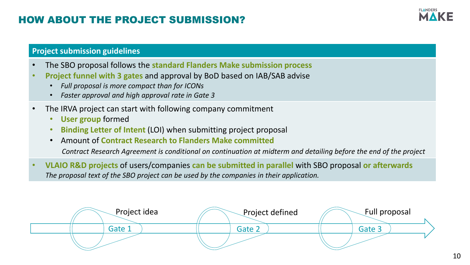# HOW ABOUT THE PROJECT SUBMISSION?



#### **Project submission guidelines**

- The SBO proposal follows the **standard Flanders Make submission process**
- **Project funnel with 3 gates** and approval by BoD based on IAB/SAB advise
	- *Full proposal is more compact than for ICONs*
	- *Faster approval and high approval rate in Gate 3*
- The IRVA project can start with following company commitment
	- **User group** formed
	- **Binding Letter of Intent** (LOI) when submitting project proposal
	- Amount of **Contract Research to Flanders Make committed**

*Contract Research Agreement is conditional on continuation at midterm and detailing before the end of the project*

• **VLAIO R&D projects** of users/companies **can be submitted in parallel** with SBO proposal **or afterwards** *The proposal text of the SBO project can be used by the companies in their application.*